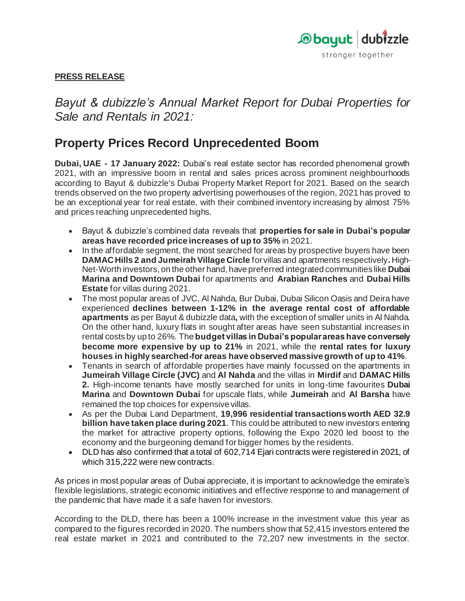

# **PRESS RELEASE**

*Bayut & dubizzle's Annual Market Report for Dubai Properties for Sale and Rentals in 2021:* 

# **Property Prices Record Unprecedented Boom**

**Dubai, UAE - 17 January 2022:** Dubai's real estate sector has recorded phenomenal growth 2021, with an impressive boom in rental and sales prices across prominent neighbourhoods according to Bayut & dubizzle's Dubai Property Market Report for 2021. Based on the search trends observed on the two property advertising powerhouses of the region, 2021 has proved to be an exceptional year for real estate, with their combined inventory increasing by almost 75% and prices reaching unprecedented highs.

- Bayut & dubizzle's combined data reveals that **properties for sale in Dubai's popular areas have recorded price increases of up to 35%** in 2021.
- In the affordable segment, the most searched for areas by prospective buyers have been **DAMAC Hills 2 and Jumeirah Village Circle** for villas and apartments respectively**.** High-Net-Worth investors, on the other hand, have preferred integrated communities like **Dubai Marina and Downtown Dubai** for apartments and **Arabian Ranches** and **Dubai Hills Estate** for villas during 2021.
- The most popular areas of JVC, Al Nahda, Bur Dubai, Dubai Silicon Oasis and Deira have experienced **declines between 1-12% in the average rental cost of affordable apartments** as per Bayut & dubizzle data**,** with the exception of smaller units in Al Nahda. On the other hand, luxury flats in sought after areas have seen substantial increases in rental costs by up to 26%. The **budget villas in Dubai's popular areas have conversely become more expensive by up to 21%** in 2021, while the **rental rates for luxury houses in highly searched-for areas have observed massive growth of up to 41%**.
- Tenants in search of affordable properties have mainly focussed on the apartments in **Jumeirah Village Circle (JVC)** and **Al Nahda** and the villas in **Mirdif** and **DAMAC Hills 2.** High-income tenants have mostly searched for units in long-time favourites **Dubai Marina** and **Downtown Dubai** for upscale flats, while **Jumeirah** and **Al Barsha** have remained the top choices for expensive villas.
- As per the Dubai Land Department, **19,996 residential transactions worth AED 32.9 billion have taken place during 2021**. This could be attributed to new investors entering the market for attractive property options, following the Expo 2020 led boost to the economy and the burgeoning demand for bigger homes by the residents.
- DLD has also confirmed that a total of 602,714 Ejari contracts were registered in 2021, of which 315,222 were new contracts.

As prices in most popular areas of Dubai appreciate, it is important to acknowledge the emirate's flexible legislations, strategic economic initiatives and effective response to and management of the pandemic that have made it a safe haven for investors.

According to the DLD, there has been a 100% increase in the investment value this year as compared to the figures recorded in 2020. The numbers show that 52,415 investors entered the real estate market in 2021 and contributed to the 72,207 new investments in the sector.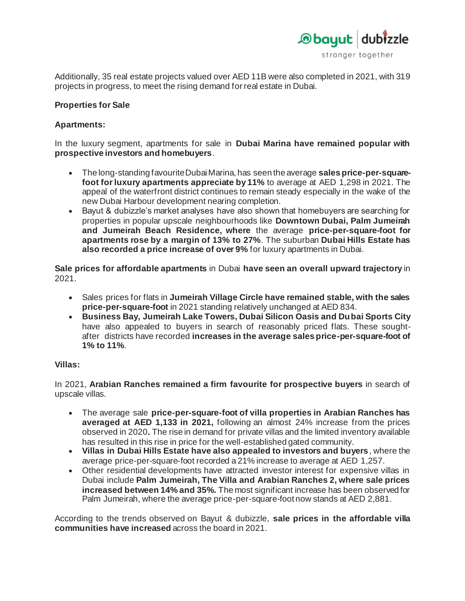

Additionally, 35 real estate projects valued over AED 11B were also completed in 2021, with 319 projects in progress, to meet the rising demand for real estate in Dubai.

# **Properties for Sale**

# **Apartments:**

In the luxury segment, apartments for sale in **Dubai Marina have remained popular with prospective investors and homebuyers**.

- The long-standing favourite Dubai Marina, has seen the average **sales price-per-squarefoot for luxury apartments appreciate by 11%** to average at AED 1,298 in 2021. The appeal of the waterfront district continues to remain steady especially in the wake of the new Dubai Harbour development nearing completion.
- Bayut & dubizzle's market analyses have also shown that homebuyers are searching for properties in popular upscale neighbourhoods like **Downtown Dubai, Palm Jumeirah and Jumeirah Beach Residence, where** the average **price-per-square-foot for apartments rose by a margin of 13% to 27%**. The suburban **Dubai Hills Estate has also recorded a price increase of over 9%** for luxury apartments in Dubai.

**Sale prices for affordable apartments** in Dubai **have seen an overall upward trajectory** in 2021.

- Sales prices for flats in **Jumeirah Village Circle have remained stable, with the sales price-per-square-foot** in 2021 standing relatively unchanged at AED 834.
- **Business Bay, Jumeirah Lake Towers, Dubai Silicon Oasis and Dubai Sports City**  have also appealed to buyers in search of reasonably priced flats. These soughtafter districts have recorded **increases in the average sales price-per-square-foot of 1% to 11%**.

## **Villas:**

In 2021, **Arabian Ranches remained a firm favourite for prospective buyers** in search of upscale villas.

- The average sale **price-per-square-foot of villa properties in Arabian Ranches has averaged at AED 1,133 in 2021,** following an almost 24% increase from the prices observed in 2020**.** The rise in demand for private villas and the limited inventory available has resulted in this rise in price for the well-established gated community.
- **Villas in Dubai Hills Estate have also appealed to investors and buyers**, where the average price-per-square-foot recorded a 21% increase to average at AED 1,257.
- Other residential developments have attracted investor interest for expensive villas in Dubai include **Palm Jumeirah, The Villa and Arabian Ranches 2, where sale prices increased between 14% and 35%.** The most significant increase has been observed for Palm Jumeirah, where the average price-per-square-foot now stands at AED 2,881.

According to the trends observed on Bayut & dubizzle, **sale prices in the affordable villa communities have increased** across the board in 2021.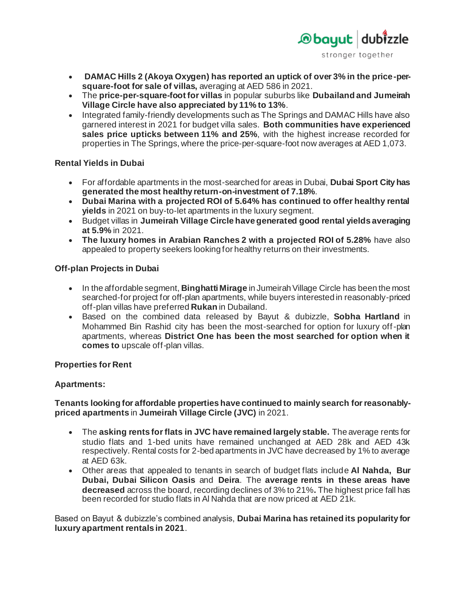

- **DAMAC Hills 2 (Akoya Oxygen) has reported an uptick of over 3% in the price-persquare-foot for sale of villas,** averaging at AED 586 in 2021.
- The **price-per-square-foot for villas** in popular suburbs like **Dubailand and Jumeirah Village Circle have also appreciated by 11% to 13%**.
- Integrated family-friendly developments such as The Springs and DAMAC Hills have also garnered interest in 2021 for budget villa sales. **Both communities have experienced sales price upticks between 11% and 25%**, with the highest increase recorded for properties in The Springs, where the price-per-square-foot now averages at AED 1,073.

# **Rental Yields in Dubai**

- For affordable apartments in the most-searched for areas in Dubai, **Dubai Sport City has generated the most healthy return-on-investment of 7.18%**.
- **Dubai Marina with a projected ROI of 5.64% has continued to offer healthy rental yields** in 2021 on buy-to-let apartments in the luxury segment.
- Budget villas in **Jumeirah Village Circle have generated good rental yields averaging at 5.9%** in 2021.
- **The luxury homes in Arabian Ranches 2 with a projected ROI of 5.28%** have also appealed to property seekers looking for healthy returns on their investments.

# **Off-plan Projects in Dubai**

- In the affordable segment, **Binghatti Mirage** in Jumeirah Village Circle has been the most searched-for project for off-plan apartments, while buyers interested in reasonably-priced off-plan villas have preferred **Rukan** in Dubailand.
- Based on the combined data released by Bayut & dubizzle, **Sobha Hartland** in Mohammed Bin Rashid city has been the most-searched for option for luxury off-plan apartments, whereas **District One has been the most searched for option when it comes to** upscale off-plan villas.

## **Properties for Rent**

# **Apartments:**

**Tenants looking for affordable properties have continued to mainly search for reasonablypriced apartments** in **Jumeirah Village Circle (JVC)** in 2021.

- The **asking rents for flats in JVC have remained largely stable.** The average rents for studio flats and 1-bed units have remained unchanged at AED 28k and AED 43k respectively. Rental costs for 2-bed apartments in JVC have decreased by 1% to average at AED 63k.
- Other areas that appealed to tenants in search of budget flats include **Al Nahda, Bur Dubai, Dubai Silicon Oasis** and **Deira**. The **average rents in these areas have decreased** across the board, recording declines of 3% to 21%**.** The highest price fall has been recorded for studio flats in Al Nahda that are now priced at AED 21k.

Based on Bayut & dubizzle's combined analysis, **Dubai Marina has retained its popularity for luxury apartment rentals in 2021**.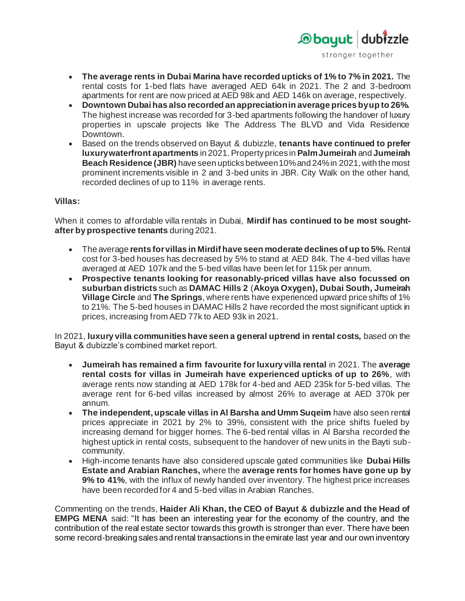

- **The average rents in Dubai Marina have recorded upticks of 1% to 7% in 2021.** The rental costs for 1-bed flats have averaged AED 64k in 2021. The 2 and 3-bedroom apartments for rent are now priced at AED 98k and AED 146k on average, respectively.
- **Downtown Dubai has also recorded an appreciation in average prices by up to 26%.**  The highest increase was recorded for 3-bed apartments following the handover of luxury properties in upscale projects like The Address The BLVD and Vida Residence Downtown.
- Based on the trends observed on Bayut & dubizzle, **tenants have continued to prefer luxury waterfront apartments** in 2021. Property prices in **Palm Jumeirah** and **Jumeirah Beach Residence (JBR)** have seen upticks between 10% and 24% in 2021, with the most prominent increments visible in 2 and 3-bed units in JBR. City Walk on the other hand, recorded declines of up to 11% in average rents.

# **Villas:**

When it comes to affordable villa rentals in Dubai, **Mirdif has continued to be most soughtafter by prospective tenants** during 2021.

- The average **rents for villas in Mirdif have seen moderate declines of up to 5%.** Rental cost for 3-bed houses has decreased by 5% to stand at AED 84k. The 4-bed villas have averaged at AED 107k and the 5-bed villas have been let for 115k per annum.
- **Prospective tenants looking for reasonably-priced villas have also focussed on suburban districts** such as **DAMAC Hills 2** (**Akoya Oxygen), Dubai South, Jumeirah Village Circle** and **The Springs**, where rents have experienced upward price shifts of 1% to 21%. The 5-bed houses in DAMAC Hills 2 have recorded the most significant uptick in prices, increasing from AED 77k to AED 93k in 2021.

In 2021, **luxury villa communities have seen a general uptrend in rental costs,** based on the Bayut & dubizzle's combined market report.

- **Jumeirah has remained a firm favourite for luxury villa rental** in 2021. The **average rental costs for villas in Jumeirah have experienced upticks of up to 26%**, with average rents now standing at AED 178k for 4-bed and AED 235k for 5-bed villas. The average rent for 6-bed villas increased by almost 26% to average at AED 370k per annum.
- **The independent, upscale villas in Al Barsha and Umm Suqeim** have also seen rental prices appreciate in 2021 by 2% to 39%, consistent with the price shifts fueled by increasing demand for bigger homes. The 6-bed rental villas in Al Barsha recorded the highest uptick in rental costs, subsequent to the handover of new units in the Bayti subcommunity.
- High-income tenants have also considered upscale gated communities like **Dubai Hills Estate and Arabian Ranches,** where the **average rents for homes have gone up by 9% to 41%**, with the influx of newly handed over inventory. The highest price increases have been recorded for 4 and 5-bed villas in Arabian Ranches.

Commenting on the trends, **Haider Ali Khan, the CEO of Bayut & dubizzle and the Head of EMPG MENA** said: "It has been an interesting year for the economy of the country, and the contribution of the real estate sector towards this growth is stronger than ever. There have been some record-breaking sales and rental transactions in the emirate last year and our own inventory